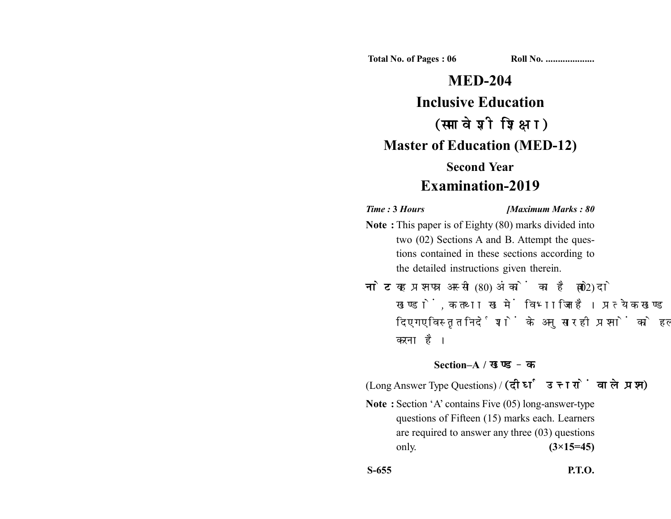**Total No. of Pages : 06 Roll No. ...................** 

# **MED-204 Inclusive Education** (समावेशी शिक्षा) **Master of Education (MED-12) Second Year Examination-2019**

#### *Time :* **3** *Hours [Maximum Marks : 80*

- **Note :** This paper is of Eighty (80) marks divided into two (02) Sections A and B. Attempt the questions contained in these sections according to the detailed instructions given therein.
- नोट: यह प्रश्नपत्र अस्सी (80) अंकों का है जो दो (02) खण्डों, क तथा ख में विभाजित है। प्रत्येक खण्ड में दिए गए विस्तृत निर्देशों के अनुसार ही प्रश्नों को हल करना है।

## **Section–A /**

(Long Answer Type Questions) / (दीर्घ उत्तरों वाले प्रश्न)

**Note :** Section 'A' contains Five (05) long-answer-type questions of Fifteen (15) marks each. Learners are required to answer any three (03) questions only. **(3×15=45)**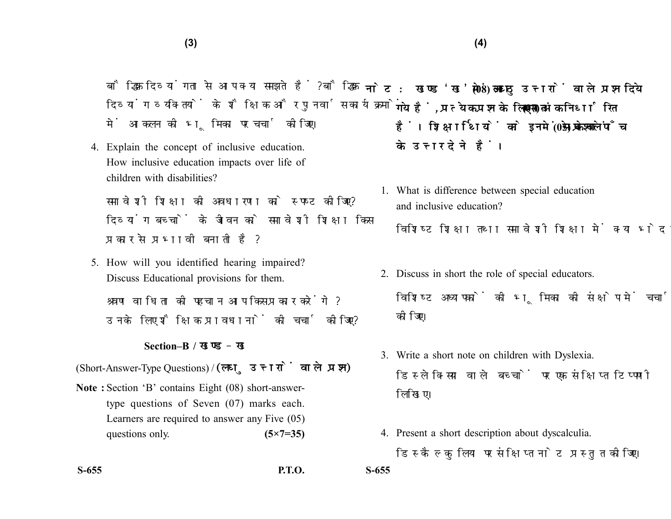बौद्धिक दिव्यांगता से आप क्या समझते हैं? बौद्धिक दिव्यांग व्यक्तियों के शैक्षिक और पुनर्वास कार्यक्रमों में आकलन की भूमिका पर चर्चा कीजिए।

4. Explain the concept of inclusive education. How inclusive education impacts over life of children with disabilities?

समावेशी शिक्षा की अवधारणा को स्पष्ट कीजिए? दिव्यांग बच्चों के जीवन को समावेशी शिक्षा किस प्रकार से प्रभावी बनाती है?

5. How will you identified hearing impaired? Discuss Educational provisions for them. श्रवण वाधिता की पहचान आप किस प्रकार करेंगे? उनके लिए शैक्षिक प्रावधानों की चर्चा कोजिए?

### **Section–B /**

(Short-Answer-Type Questions) / (लघु उत्तरों वाले प्रश्न)

- **Note :** Section 'B' contains Eight (08) short-answertype questions of Seven (07) marks each. Learners are required to answer any Five (05) questions only. **(5×7=35)**
- 

**S-655 P.T.O. S-655**

- नोट: खण्ड'ख' में आठ (08) लघु उत्तरों वाले प्रश्न दिये गये हैं. प्रत्येक प्रश्न के लिए सात (07) अंक निर्धारित हैं। शिक्षार्थियों को इनमें से केवल पाँच (05) प्रश्नों के उत्तर देने हैं।
	- 1. What is difference between special education and inclusive education?

विशिष्ट शिक्षा तथा समावेशी शिक्षा में क्या भेद है?

- 2. Discuss in short the role of special educators. विशिष्ट अध्यापकों की भूमिका की संक्षेप में चर्चा कोजिए।
- 3. Write a short note on children with Dyslexia. डिस्लेक्सिया वाले बच्चों पर एक संक्षिप्त टिप्पणी लिखिए।
- 4. Present a short description about dyscalculia. डिस्कैल्कुलिया पर संक्षिप्त नोट प्रस्तुत कोजिए।